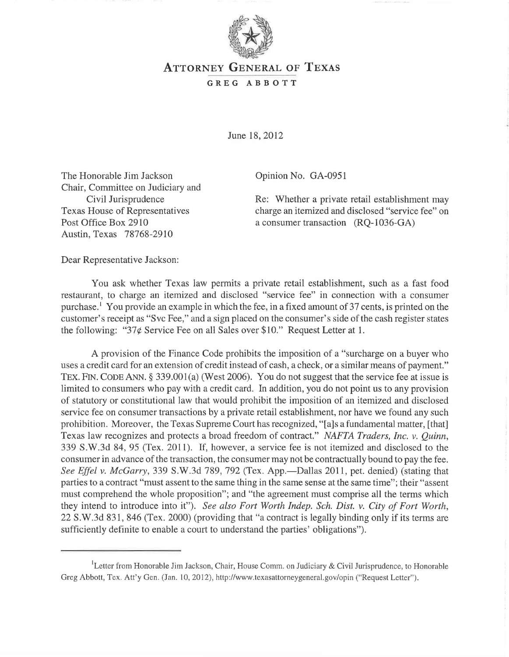

## ATTORNEY GENERAL OF TEXAS

## GREG ABBOTT

June 18,2012

The Honorable Jim Jackson Chair, Committee on Judiciary and Civil Jurisprudence Texas House of Representatives Post Office Box 2910 Austin, Texas 78768-2910

Opinion No. GA-0951

Re: Whether a private retail establishment may charge an itemized and disclosed "service fee" on a consumer transaction (RQ-I036-GA)

Dear Representative Jackson:

You ask whether Texas law permits a private retail establishment, such as a fast food restaurant, to charge an itemized and disclosed "service fee" in connection with a consumer purchase.<sup> $\frac{1}{1}$ </sup> You provide an example in which the fee, in a fixed amount of 37 cents, is printed on the customer's receipt as "Svc Fee," and a sign placed on the consumer's side of the cash register states the following: "37¢ Service Fee on all Sales over \$10." Request Letter at 1.

A provision of the Finance Code prohibits the imposition of a "surcharge on a buyer who uses a credit card for an extension of credit instead of cash, a check, or a similar means of payment." TEX. FIN. CODE ANN. § 339.001(a) (West 2006). You do not suggest that the service fee at issue is limited to consumers who pay with a credit card. In addition, you do not point us to any provision of statutory or constitutional law that would prohibit the imposition of an itemized and disclosed service fee on consumer transactions by a private retail establishment, nor have we found any such prohibition. Moreover, the Texas Supreme Court has recognized, "[a]s a fundamental matter, [that] Texas law recognizes and protects a broad freedom of contract." *NAFTA Traders, Inc. v. Quinn,*  339 S.W.3d 84, 95 (Tex. 2011). If, however, a service fee is not itemized and disclosed to the consumer in advance of the transaction, the consumer may not be contractually bound to pay the fee. See Effel v. McGarry, 339 S.W.3d 789, 792 (Tex. App.—Dallas 2011, pet. denied) (stating that parties to a contract "must assent to the same thing in the same sense at the same time"; their "assent must comprehend the whole proposition"; and "the agreement must comprise all the terms which they intend to introduce into it"). *See also Fort Worth Indep. Sch. Dist. v. City of Fort Worth,*  22 S.W.3d 831, 846 (Tex. 2000) (providing that "a contract is legally binding only if its terms are sufficiently definite to enable a court to understand the parties' obligations").

<sup>&</sup>lt;sup>1</sup>Letter from Honorable Jim Jackson, Chair, House Comm. on Judiciary & Civil Jurisprudence, to Honorable Greg Abbott, Tex. Att'y Gen. (Jan. 10,2012), http://www.texasattorneygeneral.gov/opin ("Request Letter").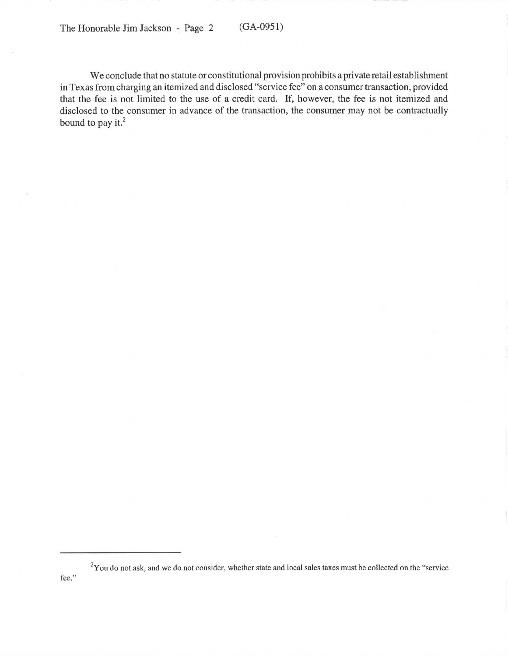The Honorable Jim Jackson - Page 2 (GA-0951)

We conclude that no statute or constitutional provision prohibits a private retail establishment in Texas from charging an itemized and disclosed "service fee" on a consumer transaction, provided that the fee is not limited to the use of a credit card. If, however, the fee is not itemized and disclosed to the consumer in advance of the transaction, the consumer may not be contractually bound to pay it. $2$ 

<sup>&</sup>lt;sup>2</sup>You do not ask, and we do not consider, whether state and local sales taxes must be collected on the "service fee."